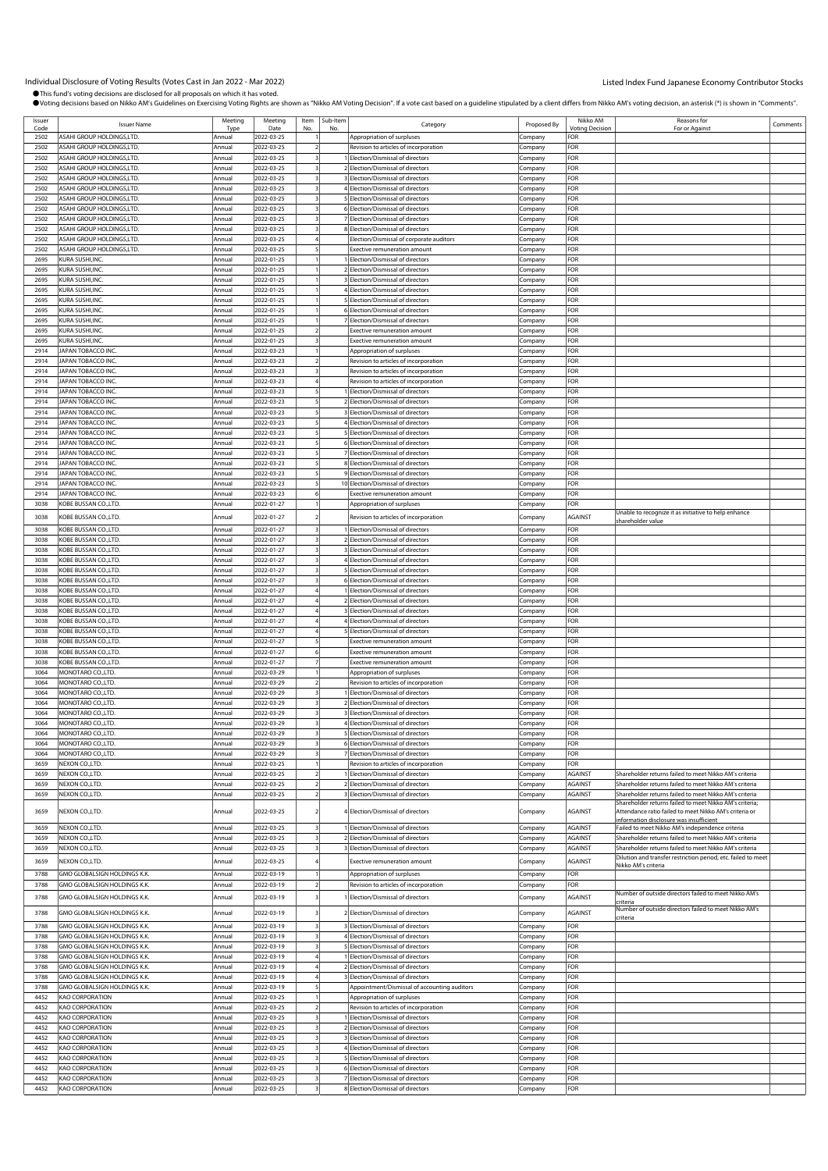| Issuer<br>Code | <b>Issuer Name</b>               | Meeting<br><b>Type</b> | Meeting<br>Date | Item<br>No     | Sub-Item<br>No | Category                                     | Proposed By | Nikko AM<br><b>Voting Decision</b> | Reasons for                                                       | Comments |
|----------------|----------------------------------|------------------------|-----------------|----------------|----------------|----------------------------------------------|-------------|------------------------------------|-------------------------------------------------------------------|----------|
| 2502           | ASAHI GROUP HOLDINGS,LTD.        | Annual                 | 2022-03-25      |                |                |                                              |             | FOR                                | For or Against                                                    |          |
|                |                                  |                        |                 |                |                | Appropriation of surpluses                   | Company     |                                    |                                                                   |          |
| 2502           | <b>ASAHI GROUP HOLDINGS.LTD.</b> | Annual                 | 2022-03-25      |                |                | Revision to articles of incorporation        | Company     | FOR                                |                                                                   |          |
| 2502           | ASAHI GROUP HOLDINGS,LTD.        | Annual                 | 2022-03-25      |                |                | 1 Election/Dismissal of directors            | Company     | FOR                                |                                                                   |          |
| 2502           | ASAHI GROUP HOLDINGS,LTD.        | Annual                 | 2022-03-25      |                |                | 2 Election/Dismissal of directors            | Company     | FOR                                |                                                                   |          |
| 2502           | ASAHI GROUP HOLDINGS, LTD.       | Annual                 | 2022-03-25      |                |                | 3 Election/Dismissal of directors            | Company     | FOR                                |                                                                   |          |
| 2502           | ASAHI GROUP HOLDINGS,LTD.        | Annual                 | 2022-03-25      |                |                | 4 Election/Dismissal of directors            | Company     | FOR                                |                                                                   |          |
|                | ASAHI GROUP HOLDINGS,LTD.        |                        |                 |                |                |                                              |             | FOR                                |                                                                   |          |
| 2502           |                                  | Annual                 | 2022-03-25      |                |                | 5 Election/Dismissal of directors            | Company     |                                    |                                                                   |          |
| 2502           | ASAHI GROUP HOLDINGS,LTD         | Annual                 | 2022-03-25      |                |                | 6 Election/Dismissal of directors            | .cmpany     | FOR                                |                                                                   |          |
| 2502           | ASAHI GROUP HOLDINGS,LTD.        | Annual                 | 2022-03-25      |                |                | 7 Election/Dismissal of directors            | Company     | FOR                                |                                                                   |          |
| 2502           | <b>ASAHI GROUP HOLDINGS,LTD</b>  | Annual                 | 2022-03-25      |                |                | 8 Election/Dismissal of directors            | Company     | FOR                                |                                                                   |          |
| 2502           | ASAHI GROUP HOLDINGS,LTD.        | Annual                 | 2022-03-25      |                |                | Election/Dismissal of corporate auditors     | Company     | FOR                                |                                                                   |          |
| 2502           | ASAHI GROUP HOLDINGS,LTD.        | Annual                 | 2022-03-25      |                |                | Exective remuneration amount                 |             | FOR                                |                                                                   |          |
|                |                                  |                        |                 |                |                |                                              | Company     |                                    |                                                                   |          |
| 2695           | KURA SUSHI, INC.                 | Annual                 | 2022-01-25      |                |                | Election/Dismissal of directors              | Company     | FOR                                |                                                                   |          |
| 2695           | KURA SUSHI, INC.                 | Annual                 | 2022-01-25      |                |                | 2 Election/Dismissal of directors            | Company     | FOR                                |                                                                   |          |
| 2695           | KURA SUSHI,INC.                  | Annual                 | 2022-01-25      |                |                | <b>Election/Dismissal of directors</b>       | Company     | FOR                                |                                                                   |          |
| 2695           | KURA SUSHI,INC.                  | Annual                 | 2022-01-25      |                |                | 4 Election/Dismissal of directors            | Company     | FOR                                |                                                                   |          |
| 2695           | KURA SUSHI, INC.                 | Annual                 | 2022-01-25      |                |                | 5 Election/Dismissal of directors            | Company     | FOR                                |                                                                   |          |
| 2695           | <b>KURA SUSHI,INC.</b>           | Annual                 | 2022-01-25      |                |                |                                              |             | FOR                                |                                                                   |          |
|                |                                  |                        |                 |                |                | 6 Election/Dismissal of directors            | Company     |                                    |                                                                   |          |
| 2695           | KURA SUSHI, INC.                 | Annual                 | 2022-01-25      |                |                | 7 Election/Dismissal of directors            | Company     | FOR                                |                                                                   |          |
| 2695           | KURA SUSHI,INC.                  | Annual                 | 2022-01-25      | $\overline{a}$ |                | <b>Exective remuneration amount</b>          | Company     | FOR                                |                                                                   |          |
| 2695           | KURA SUSHI,INC.                  | Annual                 | 2022-01-25      |                |                | Exective remuneration amount                 | Company     | FOR                                |                                                                   |          |
| 2914           | <b>JAPAN TOBACCO INC.</b>        | Annual                 | 2022-03-23      |                |                | Appropriation of surpluses                   | Company     | FOR                                |                                                                   |          |
| 2914           | JAPAN TOBACCO INC.               | Annual                 | 2022-03-23      |                |                | Revision to articles of incorporation        | Company     | FOR                                |                                                                   |          |
|                |                                  |                        |                 |                |                |                                              |             |                                    |                                                                   |          |
| 2914           | <b>JAPAN TOBACCO INC.</b>        | Annual                 | 2022-03-23      |                |                | Revision to articles of incorporation        | Company     | FOR                                |                                                                   |          |
| 2914           | <b>JAPAN TOBACCO INC</b>         | Annual                 | 2022-03-23      |                |                | Revision to articles of incorporation        | Company     | FOR                                |                                                                   |          |
| 2914           | <b>JAPAN TOBACCO INC.</b>        | Annual                 | 2022-03-23      |                |                | 1 Flection/Dismissal of directors            | Company     | FOR                                |                                                                   |          |
| 2914           | <b>JAPAN TOBACCO INC.</b>        | Annual                 | 2022-03-23      |                |                | 2 Election/Dismissal of directors            | Company     | FOR                                |                                                                   |          |
| 2914           | <b>JAPAN TOBACCO INC</b>         | Annual                 | 2022-03-23      |                |                | 3 Election/Dismissal of directors            | Company     | FOR                                |                                                                   |          |
| 2914           | <b>JAPAN TOBACCO INC.</b>        | Annual                 | 2022-03-23      |                |                | 4 Election/Dismissal of directors            |             | FOR                                |                                                                   |          |
|                |                                  |                        |                 |                |                |                                              | Company     |                                    |                                                                   |          |
| 2914           | <b>JAPAN TOBACCO INC</b>         | Annual                 | 2022-03-23      |                |                | 5 Election/Dismissal of directors            | Company     | FOR                                |                                                                   |          |
| 2914           | <b>JAPAN TOBACCO INC.</b>        | Annual                 | 2022-03-23      |                |                | 6 Election/Dismissal of directors            | Company     | FOR                                |                                                                   |          |
| 2914           | <b>JAPAN TOBACCO INC</b>         | Annual                 | 2022-03-23      |                |                | 7 Election/Dismissal of directors            | Company     | FOR                                |                                                                   |          |
| 2914           | JAPAN TOBACCO INC.               | Annual                 | 2022-03-23      |                |                | 8 Election/Dismissal of directors            | Company     | FOR                                |                                                                   |          |
| 2914           | <b>JAPAN TOBACCO INC.</b>        | Annual                 | 2022-03-23      |                |                | 9 Election/Dismissal of directors            | Company     | FOR                                |                                                                   |          |
|                |                                  |                        |                 |                |                |                                              |             | FOR                                |                                                                   |          |
| 2914           | <b>JAPAN TOBACCO INC.</b>        | Annual                 | 2022-03-23      |                |                | 10 Election/Dismissal of directors           | Company     |                                    |                                                                   |          |
| 2914           | <b>JAPAN TOBACCO INC.</b>        | Annual                 | 2022-03-23      |                |                | <b>Exective remuneration amount</b>          | Company     | FOR                                |                                                                   |          |
| 3038           | KOBE BUSSAN CO.,LTD.             | Annual                 | 2022-01-27      |                |                | Appropriation of surpluses                   | Company     | FOR                                |                                                                   |          |
| 3038           | <b>KOBE BUSSAN CO.,LTD.</b>      | Annual                 | 2022-01-27      |                |                | Revision to articles of incorporation        | Company     | AGAINST                            | Unable to recognize it as initiative to help enhance              |          |
|                |                                  |                        |                 |                |                |                                              |             |                                    | shareholder value                                                 |          |
| 3038           | <b>KOBE BUSSAN CO.,LTD.</b>      | Annual                 | 2022-01-27      |                |                | I Election/Dismissal of directors            | Company     | FOR                                |                                                                   |          |
| 3038           | KOBE BUSSAN CO.,LTD.             | Annual                 | 2022-01-27      |                |                | 2 Election/Dismissal of directors            | Company     | FOR                                |                                                                   |          |
| 3038           | <b>KOBE BUSSAN CO.,LTD.</b>      | Annual                 | 2022-01-27      |                |                | 3 Election/Dismissal of directors            | Company     | FOR                                |                                                                   |          |
| 3038           | <b>KOBE BUSSAN CO., LTD.</b>     | Annual                 | 2022-01-27      |                |                | 4 Election/Dismissal of directors            | Company     | FOR                                |                                                                   |          |
|                |                                  |                        |                 |                |                |                                              |             |                                    |                                                                   |          |
| 3038           | <b>KOBE BUSSAN CO.,LTD.</b>      | Annual                 | 2022-01-27      |                |                | 5 Election/Dismissal of directors            | Company     | FOR                                |                                                                   |          |
| 3038           | KOBE BUSSAN CO.,LTD.             | Annual                 | 2022-01-27      |                |                | 6 Election/Dismissal of directors            | Company     | FOR                                |                                                                   |          |
| 3038           | <b>KOBE BUSSAN CO.,LTD.</b>      | Annual                 | 2022-01-27      |                |                | 1 Election/Dismissal of directors            | Company     | FOR                                |                                                                   |          |
| 3038           | <b>KOBE BUSSAN CO.,LTD.</b>      | Annual                 | 2022-01-27      |                |                | 2 Election/Dismissal of directors            | Company     | FOR                                |                                                                   |          |
| 3038           | KOBE BUSSAN CO.,LTD.             | Annual                 | 2022-01-27      |                |                | 3 Election/Dismissal of directors            | Company     | FOR                                |                                                                   |          |
| 3038           | <b>KOBE BUSSAN CO.,LTD.</b>      | Annual                 | 2022-01-27      |                |                | 4 Election/Dismissal of directors            | Company     | FOR                                |                                                                   |          |
|                |                                  |                        |                 |                |                |                                              |             |                                    |                                                                   |          |
| 3038           | <b>KOBE BUSSAN CO.,LTD.</b>      | Annual                 | 2022-01-27      |                |                | 5 Election/Dismissal of directors            | Company     | FOR                                |                                                                   |          |
| 3038           | <b>KOBE BUSSAN CO.,LTD.</b>      | Annual                 | 2022-01-27      |                |                | <b>Exective remuneration amount</b>          | Company     | FOR                                |                                                                   |          |
| 3038           | <b>KOBE BUSSAN CO.,LTD.</b>      | Annual                 | 2022-01-27      |                |                | <b>Exective remuneration amount</b>          | Company     | FOR                                |                                                                   |          |
| 3038           | KOBE BUSSAN CO.,LTD.             | Annual                 | 2022-01-27      |                |                | <b>Exective remuneration amount</b>          | Company     | FOR                                |                                                                   |          |
| 3064           | MONOTARO CO.,LTD.                | Annual                 | 2022-03-29      |                |                | Appropriation of surpluses                   | Company     | FOR                                |                                                                   |          |
| 3064           | MONOTARO CO.,LTD.                | Annual                 | 2022-03-29      |                |                | Revision to articles of incorporation        | Company     | FOR                                |                                                                   |          |
|                |                                  |                        |                 |                |                |                                              |             |                                    |                                                                   |          |
| 3064           | MONOTARO CO.,LTD                 | Annual                 | 2022-03-29      |                |                | Election/Dismissal of directors              | .cmpany     | FOR                                |                                                                   |          |
| 3064           | MONOTARO CO.,LTD.                | Annual                 | 2022-03-29      |                |                | 2 Flection/Dismissal of directors            | Company     | FOR                                |                                                                   |          |
| 3064           | MONOTARO CO.,LTD                 | Annual                 | 2022-03-29      |                |                | 3 Election/Dismissal of directors            | Company     | FOR                                |                                                                   |          |
| 3064           | MONOTARO CO., LTD.               | Annual                 | 2022-03-29      |                |                | 4 Election/Dismissal of directors            | Company     | FOR                                |                                                                   |          |
| 3064           | MONOTARO CO.J TD                 | hua                    | 2022-03-29      |                |                | S Flection/Dismissal of direct               | ompany      | FOR                                |                                                                   |          |
|                | MONOTARO CO., LTD.               |                        |                 | 3              |                |                                              |             |                                    |                                                                   |          |
| 3064           |                                  | Annual                 | 2022-03-29      |                |                | 6 Election/Dismissal of directors            | Company     | FOR                                |                                                                   |          |
| 3064           | MONOTARO CO.,LTD.                | Annual                 | 2022-03-29      |                |                | 7 Election/Dismissal of directors            | Company     | FOR                                |                                                                   |          |
| 3659           | NEXON CO., LTD.                  | Annual                 | 2022-03-25      |                |                | Revision to articles of incorporation        | Company     | FOR                                |                                                                   |          |
| 3659           | NEXON CO., LTD.                  | Annual                 | 2022-03-25      |                |                | Election/Dismissal of directors              | Company     | AGAINST                            | Shareholder returns failed to meet Nikko AM's criteria            |          |
| 3659           | NEXON CO., LTD.                  | Annual                 | 2022-03-25      |                |                | 2 Election/Dismissal of directors            | Company     | AGAINST                            | Shareholder returns failed to meet Nikko AM's criteria            |          |
| 3659           | NEXON CO., LTD.                  | Annual                 | 2022-03-25      |                |                | 3 Election/Dismissal of directors            | Company     | AGAINST                            | Shareholder returns failed to meet Nikko AM's criteria            |          |
|                |                                  |                        |                 |                |                |                                              |             |                                    | Shareholder returns failed to meet Nikko AM's criteria;           |          |
| 3659           | NEXON CO.,LTD.                   | Annual                 | 2022-03-25      |                |                | 4 Election/Dismissal of directors            | Company     | AGAINST                            | Attendance ratio failed to meet Nikko AM's criteria or            |          |
|                |                                  |                        |                 |                |                |                                              |             |                                    | information disclosure was insufficient                           |          |
| 3659           | NEXON CO., LTD.                  | Annual                 | 2022-03-25      |                |                | 1 Election/Dismissal of directors            | Company     | AGAINST                            | Failed to meet Nikko AM's independence criteria                   |          |
| 3659           | NEXON CO., LTD.                  | Annual                 | 2022-03-25      |                |                | 2 Election/Dismissal of directors            | Company     | AGAINST                            | Shareholder returns failed to meet Nikko AM's criteria            |          |
| 3659           | NEXON CO., LTD.                  | Annual                 | 2022-03-25      |                |                | 3 Election/Dismissal of directors            |             | AGAINST                            | Shareholder returns failed to meet Nikko AM's criteria            |          |
|                |                                  |                        |                 |                |                |                                              | Company     |                                    | Dilution and transfer restriction period, etc. failed to meet     |          |
| 3659           | NEXON CO.,LTD.                   | Annual                 | 2022-03-25      |                |                | <b>Exective remuneration amount</b>          | Company     | AGAINST                            | Nikko AM's criteria                                               |          |
| 3788           | GMO GLOBALSIGN HOLDINGS K.K.     | Annual                 | 2022-03-19      |                |                | Appropriation of surpluses                   | Company     | FOR                                |                                                                   |          |
|                |                                  |                        |                 |                |                |                                              |             |                                    |                                                                   |          |
| 3788           | GMO GLOBALSIGN HOLDINGS K.K.     | Annual                 | 2022-03-19      |                |                | Revision to articles of incorporation        | Company     | FOR                                |                                                                   |          |
| 3788           | GMO GLOBALSIGN HOLDINGS K.K.     | Annual                 | 2022-03-19      |                |                | Election/Dismissal of directors              | Company     | AGAINST                            | Number of outside directors failed to meet Nikko AM's             |          |
|                |                                  |                        |                 |                |                |                                              |             |                                    | criteria<br>Number of outside directors failed to meet Nikko AM's |          |
| 3788           | GMO GLOBALSIGN HOLDINGS K.K.     | Annual                 | 2022-03-19      |                |                | 2 Election/Dismissal of directors            | Company     | AGAINST                            | criteria                                                          |          |
| 3788           | GMO GLOBALSIGN HOLDINGS K.K.     | Annual                 | 2022-03-19      |                |                | 3 Election/Dismissal of directors            | Company     | FOR                                |                                                                   |          |
|                |                                  |                        |                 |                |                |                                              |             |                                    |                                                                   |          |
| 3788           | GMO GLOBALSIGN HOLDINGS K.K.     | Annual                 | 2022-03-19      |                |                | 4 Election/Dismissal of directors            | Company     | FOR                                |                                                                   |          |
| 3788           | GMO GLOBALSIGN HOLDINGS K.K.     | Annual                 | 2022-03-19      |                |                | 5 Election/Dismissal of directors            | Company     | FOR                                |                                                                   |          |
| 3788           | GMO GLOBALSIGN HOLDINGS K.K.     | Annual                 | 2022-03-19      |                |                | 1 Election/Dismissal of directors            | Company     | FOR                                |                                                                   |          |
| 3788           | GMO GLOBALSIGN HOLDINGS K.K.     | Annual                 | 2022-03-19      |                |                | 2 Election/Dismissal of directors            | Company     | FOR                                |                                                                   |          |
| 3788           | GMO GLOBALSIGN HOLDINGS K.K.     | Annual                 | 2022-03-19      |                |                | 3 Election/Dismissal of directors            | Company     | FOR                                |                                                                   |          |
|                |                                  |                        |                 |                |                |                                              |             |                                    |                                                                   |          |
| 3788           | GMO GLOBALSIGN HOLDINGS K.K.     | Annual                 | 2022-03-19      |                |                | Appointment/Dismissal of accounting auditors | Company     | FOR                                |                                                                   |          |
| 4452           | <b>KAO CORPORATION</b>           | Annual                 | 2022-03-25      |                |                | Appropriation of surpluses                   | Company     | FOR                                |                                                                   |          |
| 4452           | KAO CORPORATION                  | Annual                 | 2022-03-25      |                |                | Revision to articles of incorporation        | Company     | FOR                                |                                                                   |          |
| 4452           | KAO CORPORATION                  | Annual                 | 2022-03-25      |                |                | 1 Election/Dismissal of directors            | Company     | FOR                                |                                                                   |          |
| 4452           | <b>KAO CORPORATION</b>           | Annual                 | 2022-03-25      |                |                | 2 Election/Dismissal of directors            | Company     | FOR                                |                                                                   |          |
| 4452           | <b>KAO CORPORATION</b>           | Annual                 | 2022-03-25      |                |                | 3 Election/Dismissal of directors            | Company     | FOR                                |                                                                   |          |
|                |                                  |                        |                 |                |                |                                              |             |                                    |                                                                   |          |
| 4452           | <b>KAO CORPORATION</b>           | Annual                 | 2022-03-25      |                |                | 4 Election/Dismissal of directors            | Company     | FOR                                |                                                                   |          |
| 4452           | KAO CORPORATION                  | Annual                 | 2022-03-25      |                |                | 5 Election/Dismissal of directors            | Company     | FOR                                |                                                                   |          |
| 4452           | KAO CORPORATION                  | Annual                 | 2022-03-25      |                |                | 6 Election/Dismissal of directors            | Company     | FOR                                |                                                                   |          |
| 4452           | KAO CORPORATION                  | Annual                 | 2022-03-25      |                |                | 7 Election/Dismissal of directors            | Company     | FOR                                |                                                                   |          |
| 4452           | <b>KAO CORPORATION</b>           | Annual                 | 2022-03-25      |                |                | 8 Election/Dismissal of directors            | Company     | FOR                                |                                                                   |          |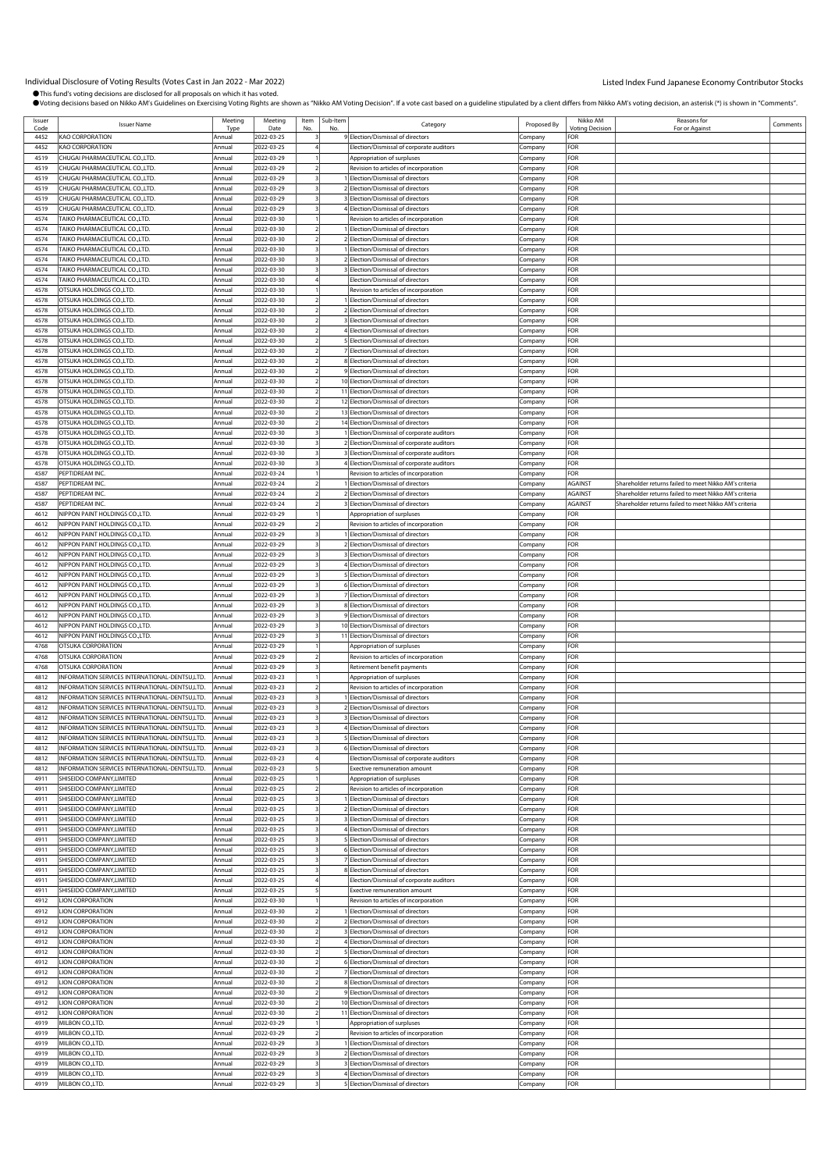| Issuer |                                                | Meeting | Meeting    | Item | Sub-Item |                                            |             | Nikko AM        | Reasons for                                            |          |
|--------|------------------------------------------------|---------|------------|------|----------|--------------------------------------------|-------------|-----------------|--------------------------------------------------------|----------|
| Code   | <b>Issuer Name</b>                             | Tyne    | Date       | No   | No       | Category                                   | Proposed By | Votina Decision | For or Against                                         | Comments |
| 4452   | KAO CORPORATION                                | Annual  | 2022-03-25 |      |          | 9 Election/Dismissal of directors          | Company     | FOR             |                                                        |          |
| 4452   | <b>KAO CORPORATION</b>                         | Annual  | 2022-03-25 |      |          | Election/Dismissal of corporate auditors   | Company     | FOR             |                                                        |          |
| 4519   | CHUGAI PHARMACEUTICAL CO.,LTD.                 | Annual  | 2022-03-29 |      |          | Appropriation of surpluses                 | .cmpany     | FOR             |                                                        |          |
| 4519   | CHUGAI PHARMACEUTICAL CO.,LTD.                 | Annual  | 2022-03-29 |      |          | Revision to articles of incorporation      | Company     | FOR             |                                                        |          |
| 4519   | CHUGAI PHARMACEUTICAL CO.,LTD.                 | Annual  | 2022-03-29 |      |          | 1 Election/Dismissal of directors          | Company     | FOR             |                                                        |          |
| 4519   | CHUGAI PHARMACEUTICAL CO.,LTD.                 | Annual  | 2022-03-29 |      |          | 2 Election/Dismissal of directors          | Company     | FOR             |                                                        |          |
| 4519   | CHUGAI PHARMACEUTICAL CO.,LTD.                 | Annual  | 2022-03-29 |      |          | 3 Election/Dismissal of directors          | Company     | FOR             |                                                        |          |
| 4519   | CHUGAI PHARMACEUTICAL CO.,LTD.                 | Annual  | 2022-03-29 |      |          | 4 Election/Dismissal of directors          | Company     | FOR             |                                                        |          |
| 4574   | <b>TAIKO PHARMACEUTICAL CO.,LTD.</b>           | Annual  | 2022-03-30 |      |          | Revision to articles of incorporation      | .cmpany     | FOR             |                                                        |          |
| 4574   | TAIKO PHARMACEUTICAL CO.,LTD.                  | Annual  | 2022-03-30 |      |          | I Election/Dismissal of directors          | .cmpany     | FOR             |                                                        |          |
| 4574   | TAIKO PHARMACEUTICAL CO.,LTD.                  | Annual  | 2022-03-30 |      |          | 2 Election/Dismissal of directors          | Company     | FOR             |                                                        |          |
| 4574   | TAIKO PHARMACEUTICAL CO.,LTD.                  | Annua   | 2022-03-30 |      |          | 1 Election/Dismissal of directors          | Company     | FOR             |                                                        |          |
| 4574   | <b>TAIKO PHARMACEUTICAL CO.,LTD.</b>           | Annual  | 2022-03-30 |      |          | 2 Election/Dismissal of directors          | Company     | FOR             |                                                        |          |
| 4574   | TAIKO PHARMACEUTICAL CO.,LTD.                  | Annual  | 2022-03-30 |      |          | 3 Election/Dismissal of directors          | Company     | FOR             |                                                        |          |
| 4574   | <b>TAIKO PHARMACEUTICAL CO.,LTD.</b>           | Annual  | 2022-03-30 |      |          | Election/Dismissal of directors            | Company     | FOR             |                                                        |          |
| 4578   | OTSUKA HOLDINGS CO.,LTD.                       | Annua   | 2022-03-30 |      |          | Revision to articles of incorporation      | Company     | FOR             |                                                        |          |
| 4578   | OTSUKA HOLDINGS CO.,LTD                        | Annua   | 2022-03-30 |      |          | Election/Dismissal of directors            | .cmpany     | FOR             |                                                        |          |
| 4578   | OTSUKA HOLDINGS CO.,LTD                        | Annual  | 2022-03-30 |      |          | 2 Election/Dismissal of directors          | Company     | FOR             |                                                        |          |
| 4578   | OTSUKA HOLDINGS CO.,LTD.                       | Annua   | 2022-03-30 |      |          | 3 Election/Dismissal of directors          | Company     | FOR             |                                                        |          |
| 4578   | OTSUKA HOLDINGS CO.,LTD.                       | Annual  | 2022-03-30 |      |          | 4 Election/Dismissal of directors          | Company     | FOR             |                                                        |          |
| 4578   | OTSUKA HOLDINGS CO.,LTD.                       | Annual  | 2022-03-30 |      |          | 5 Election/Dismissal of directors          | Company     | FOR             |                                                        |          |
| 4578   | OTSUKA HOLDINGS CO.,LTD.                       | Annual  | 2022-03-30 |      |          | 7 Election/Dismissal of directors          | Company     | FOR             |                                                        |          |
| 4578   | OTSUKA HOLDINGS CO.,LTD                        | Annua   | 2022-03-30 |      |          | 8 Election/Dismissal of directors          | Company     | FOR             |                                                        |          |
| 4578   | OTSUKA HOLDINGS CO.,LTD.                       | Annual  | 2022-03-30 |      |          | 9 Election/Dismissal of directors          | Company     | FOR             |                                                        |          |
| 4578   | OTSUKA HOLDINGS CO.,LTD                        | Annua   | 2022-03-30 |      |          | 10 Election/Dismissal of directors         | Company     | FOR             |                                                        |          |
| 4578   | OTSUKA HOLDINGS CO.,LTD.                       | Annual  | 2022-03-30 |      |          | 11 Election/Dismissal of directors         | Company     | FOR             |                                                        |          |
| 4578   | OTSUKA HOLDINGS CO.,LTD                        | Annual  | 2022-03-30 |      |          | 12 Election/Dismissal of directors         | .cmpany     | FOR             |                                                        |          |
| 4578   | OTSUKA HOLDINGS CO.,LTD                        | Annua   | 2022-03-30 |      |          | 13 Election/Dismissal of directors         | Company     | FOR             |                                                        |          |
| 4578   | OTSUKA HOLDINGS CO.,LTD.                       | Annual  | 2022-03-30 |      |          | 14 Election/Dismissal of directors         | Company     | FOR             |                                                        |          |
| 4578   | OTSUKA HOLDINGS CO.,LTD.                       | Annual  | 2022-03-30 |      |          | 1 Election/Dismissal of corporate auditors | Company     | FOR             |                                                        |          |
| 4578   | OTSUKA HOLDINGS CO.,LTD.                       | Annual  | 2022-03-30 |      |          | 2 Election/Dismissal of corporate auditors | Company     | FOR             |                                                        |          |
| 4578   | OTSUKA HOLDINGS CO.,LTD                        | Annual  | 2022-03-30 |      |          | 3 Election/Dismissal of corporate auditors | Company     | FOR             |                                                        |          |
| 4578   | OTSUKA HOLDINGS CO.,LTD.                       | Annual  | 2022-03-30 |      |          | 4 Election/Dismissal of corporate auditors | Company     | FOR             |                                                        |          |
| 4587   | PEPTIDREAM INC.                                | Annual  | 2022-03-24 |      |          | Revision to articles of incorporation      | Company     | FOR             |                                                        |          |
| 4587   | PEPTIDREAM INC.                                | Annua   | 2022-03-24 |      |          | Election/Dismissal of directors            | .cmpany     | <b>AGAINST</b>  | Shareholder returns failed to meet Nikko AM's criteria |          |
| 4587   | PEPTIDREAM INC.                                | Annual  | 2022-03-24 |      |          | 2 Election/Dismissal of directors          | Company     | <b>AGAINST</b>  | Shareholder returns failed to meet Nikko AM's criteria |          |
| 4587   | PEPTIDREAM INC                                 | Annual  | 2022-03-24 |      |          | 3 Election/Dismissal of directors          | Company     | AGAINST         | Shareholder returns failed to meet Nikko AM's criteria |          |
| 4612   | NIPPON PAINT HOLDINGS CO.,LTD.                 | Annual  | 2022-03-29 |      |          | Appropriation of surpluses                 | Company     | FOR             |                                                        |          |
| 4612   | NIPPON PAINT HOLDINGS CO.,LTD.                 | Annual  | 2022-03-29 |      |          | Revision to articles of incorporation      | Company     | FOR             |                                                        |          |
| 4612   | NIPPON PAINT HOLDINGS CO.,LTD.                 | Annual  | 2022-03-29 |      |          | 1 Election/Dismissal of directors          | Company     | FOR             |                                                        |          |
| 4612   | NIPPON PAINT HOLDINGS CO.,LTD.                 | Annua   | 2022-03-29 |      |          | 2 Election/Dismissal of directors          | Company     | FOR             |                                                        |          |
| 4612   | NIPPON PAINT HOLDINGS CO.,LTD.                 | Annual  | 2022-03-29 |      |          | 3 Election/Dismissal of directors          | Company     | FOR             |                                                        |          |
| 4612   | NIPPON PAINT HOLDINGS CO.,LTD.                 | Annual  | 2022-03-29 |      |          | 4 Election/Dismissal of directors          | Company     | FOR             |                                                        |          |
| 4612   | NIPPON PAINT HOLDINGS CO.,LTD.                 | Annual  | 2022-03-29 |      |          | 5 Election/Dismissal of directors          | Company     | FOR             |                                                        |          |
| 4612   | NIPPON PAINT HOLDINGS CO.,LTD.                 | Annual  | 2022-03-29 |      |          | 6 Election/Dismissal of directors          | Company     | FOR             |                                                        |          |
| 4612   | NIPPON PAINT HOLDINGS CO.,LTD.                 | Annual  | 2022-03-29 |      |          | 7 Election/Dismissal of directors          | Company     | FOR             |                                                        |          |
| 4612   | NIPPON PAINT HOLDINGS CO.,LTD.                 | Annual  | 2022-03-29 |      |          | 8 Election/Dismissal of directors          | Company     | FOR             |                                                        |          |
| 4612   | NIPPON PAINT HOLDINGS CO.,LTD.                 | Annua   | 2022-03-29 |      |          | 9 Election/Dismissal of directors          | Company     | FOR             |                                                        |          |
| 4612   | NIPPON PAINT HOLDINGS CO.,LTD.                 | Annual  | 2022-03-29 |      |          | 10 Election/Dismissal of directors         | Company     | FOR             |                                                        |          |
| 4612   | NIPPON PAINT HOLDINGS CO.,LTD.                 | Annual  | 2022-03-29 |      |          | 11 Election/Dismissal of directors         | Company     | FOR             |                                                        |          |
| 4768   | OTSUKA CORPORATION                             | Annual  | 2022-03-29 |      |          | Appropriation of surpluses                 | Company     | FOR             |                                                        |          |
| 4768   | OTSUKA CORPORATION                             | Annual  | 2022-03-29 |      |          | Revision to articles of incorporation      | Company     | FOR             |                                                        |          |
| 4768   | OTSUKA CORPORATION                             | Annua   | 2022-03-29 |      |          | Retirement benefit payments                | Company     | FOR             |                                                        |          |
| 4812   | INFORMATION SERVICES INTERNATIONAL-DENTSU.LTD. | Annual  | 2022-03-23 |      |          | Appropriation of surpluses                 | Company     | FOR             |                                                        |          |
| 4812   | INFORMATION SERVICES INTERNATIONAL-DENTSU,LTD. | Annual  | 2022-03-23 |      |          | Revision to articles of incorporation      | Company     | FOR             |                                                        |          |
| 4812   | INFORMATION SERVICES INTERNATIONAL-DENTSU,LTD. | Annual  | 2022-03-23 |      |          | 1 Election/Dismissal of directors          | Company     | FOR             |                                                        |          |
| 4812   | INFORMATION SERVICES INTERNATIONAL-DENTSU,LTD. | Annual  | 2022-03-23 |      |          | 2 Election/Dismissal of directors          | Company     | FOR             |                                                        |          |
| 4812   | INFORMATION SERVICES INTERNATIONAL-DENTSU,LTD. | Annual  | 2022-03-23 |      |          | 3 Election/Dismissal of directors          | Company     | FOR             |                                                        |          |
| 4812   | INFORMATION SERVICES INTERNATIONAL-DENTSU,LTD. | Annual  | 2022-03-23 |      |          | 4 Election/Dismissal of directors          | Company     | FOR             |                                                        |          |
| 4812   | INFORMATION SERVICES INTERNATIONAL-DENTSU,LTD. | Annual  | 2022-03-23 |      |          | 5 Election/Dismissal of directors          | Company     | FOR             |                                                        |          |
| 4812   | INFORMATION SERVICES INTERNATIONAL-DENTSU,LTD. | Annual  | 2022-03-23 |      |          | 6 Election/Dismissal of directors          | Company     | FOR             |                                                        |          |
| 4812   | INFORMATION SERVICES INTERNATIONAL-DENTSU,LTD. | Annual  | 2022-03-23 |      |          | Election/Dismissal of corporate auditors   | Company     | FOR             |                                                        |          |
| 4812   | INFORMATION SERVICES INTERNATIONAL-DENTSU,LTD. | Annual  | 2022-03-23 |      |          | Exective remuneration amount               | Company     | FOR             |                                                        |          |
| 4911   | SHISEIDO COMPANY, LIMITED                      | Annual  | 2022-03-25 |      |          | Appropriation of surpluses                 | Company     | FOR             |                                                        |          |
| 4911   | SHISEIDO COMPANY, LIMITED                      | Annual  | 2022-03-25 |      |          | Revision to articles of incorporation      | Company     | FOR             |                                                        |          |
| 4911   | SHISEIDO COMPANY, LIMITED                      | Annual  | 2022-03-25 |      |          | 1 Election/Dismissal of directors          | Company     | FOR             |                                                        |          |
| 4911   | SHISEIDO COMPANY, LIMITED                      | Annual  | 2022-03-25 |      |          | 2 Election/Dismissal of directors          | Company     | FOR             |                                                        |          |
| 4911   | SHISEIDO COMPANY,LIMITED                       | Annual  | 2022-03-25 |      |          | 3 Election/Dismissal of directors          | Company     | FOR             |                                                        |          |
| 4911   | SHISEIDO COMPANY,LIMITED                       | Annual  | 2022-03-25 |      |          | 4 Election/Dismissal of directors          | Company     | FOR             |                                                        |          |
| 4911   | SHISEIDO COMPANY, LIMITED                      | Annual  | 2022-03-25 |      |          | 5 Election/Dismissal of directors          | Company     | FOR             |                                                        |          |
| 4911   | SHISEIDO COMPANY, LIMITED                      | Annual  | 2022-03-25 |      |          | 6 Election/Dismissal of directors          | Company     | FOR             |                                                        |          |
| 4911   | SHISEIDO COMPANY.LIMITED                       | Annual  | 2022-03-25 |      |          | 7 Election/Dismissal of directors          | Company     | FOR             |                                                        |          |
| 4911   | SHISEIDO COMPANY,LIMITED                       | Annual  | 2022-03-25 |      |          | 8 Election/Dismissal of directors          | Company     | FOR             |                                                        |          |
| 4911   | SHISEIDO COMPANY,LIMITED                       | Annual  | 2022-03-25 |      |          | Election/Dismissal of corporate auditors   | Company     | FOR             |                                                        |          |
| 4911   | SHISEIDO COMPANY, LIMITED                      | Annual  | 2022-03-25 |      |          | Exective remuneration amount               | Company     | FOR             |                                                        |          |
| 4912   | <b>LION CORPORATION</b>                        | Annual  | 2022-03-30 |      |          | Revision to articles of incorporation      | .cmpany     | FOR             |                                                        |          |
| 4912   | LION CORPORATION                               | Annual  | 2022-03-30 |      |          | I Election/Dismissal of directors          | Company     | FOR             |                                                        |          |
| 4912   | <b>LION CORPORATION</b>                        | Annual  | 2022-03-30 |      |          | 2 Election/Dismissal of directors          | Company     | FOR             |                                                        |          |
| 4912   | <b>LION CORPORATION</b>                        | Annual  | 2022-03-30 |      |          | 3 Election/Dismissal of directors          | Company     | FOR             |                                                        |          |
| 4912   | <b>LION CORPORATION</b>                        | Annual  | 2022-03-30 |      |          | 4 Election/Dismissal of directors          | Company     | FOR             |                                                        |          |
| 4912   | <b>ION CORPORATION</b>                         | Annual  | 2022-03-30 |      |          | 5 Election/Dismissal of directors          | Company     | FOR             |                                                        |          |
| 4912   | <b>LION CORPORATION</b>                        | Annual  | 2022-03-30 |      |          | 6 Election/Dismissal of directors          | Company     | FOR             |                                                        |          |
| 4912   | <b>LION CORPORATION</b>                        | Annual  | 2022-03-30 |      |          | 7 Election/Dismissal of directors          | Company     | FOR             |                                                        |          |
| 4912   | <b>LION CORPORATION</b>                        | Annual  | 2022-03-30 |      |          | 8 Election/Dismissal of directors          | Company     | FOR             |                                                        |          |
| 4912   | <b>LION CORPORATION</b>                        | Annual  | 2022-03-30 |      |          | 9 Election/Dismissal of directors          | .cmpany     | FOR             |                                                        |          |
| 4912   | LION CORPORATION                               | Annual  | 2022-03-30 |      |          | 10 Election/Dismissal of directors         | Company     | FOR             |                                                        |          |
| 4912   | <b>LION CORPORATION</b>                        | Annual  | 2022-03-30 |      |          | 11 Election/Dismissal of directors         | Company     | FOR             |                                                        |          |
| 4919   | MILBON CO., LTD.                               | Annual  | 2022-03-29 |      |          | Appropriation of surpluses                 | Company     | FOR             |                                                        |          |
| 4919   | MILBON CO., LTD.                               | Annual  | 2022-03-29 |      |          | Revision to articles of incorporation      | Company     | FOR             |                                                        |          |
| 4919   | MILBON CO., LTD.                               | Annual  | 2022-03-29 |      |          | 1 Election/Dismissal of directors          | Company     | FOR             |                                                        |          |
| 4919   | MILBON CO., LTD.                               | Annual  | 2022-03-29 |      |          | 2 Election/Dismissal of directors          | Company     | FOR             |                                                        |          |
| 4919   | MILBON CO.,LTD.                                | Annual  | 2022-03-29 |      |          | 3 Election/Dismissal of directors          | Company     | FOR             |                                                        |          |
| 4919   | MILBON CO., LTD.                               | Annual  | 2022-03-29 |      |          | 4 Election/Dismissal of directors          | Company     | FOR             |                                                        |          |
| 4919   | MILBON CO., LTD.                               | Annual  | 2022-03-29 |      |          | 5 Election/Dismissal of directors          | Company     | FOR             |                                                        |          |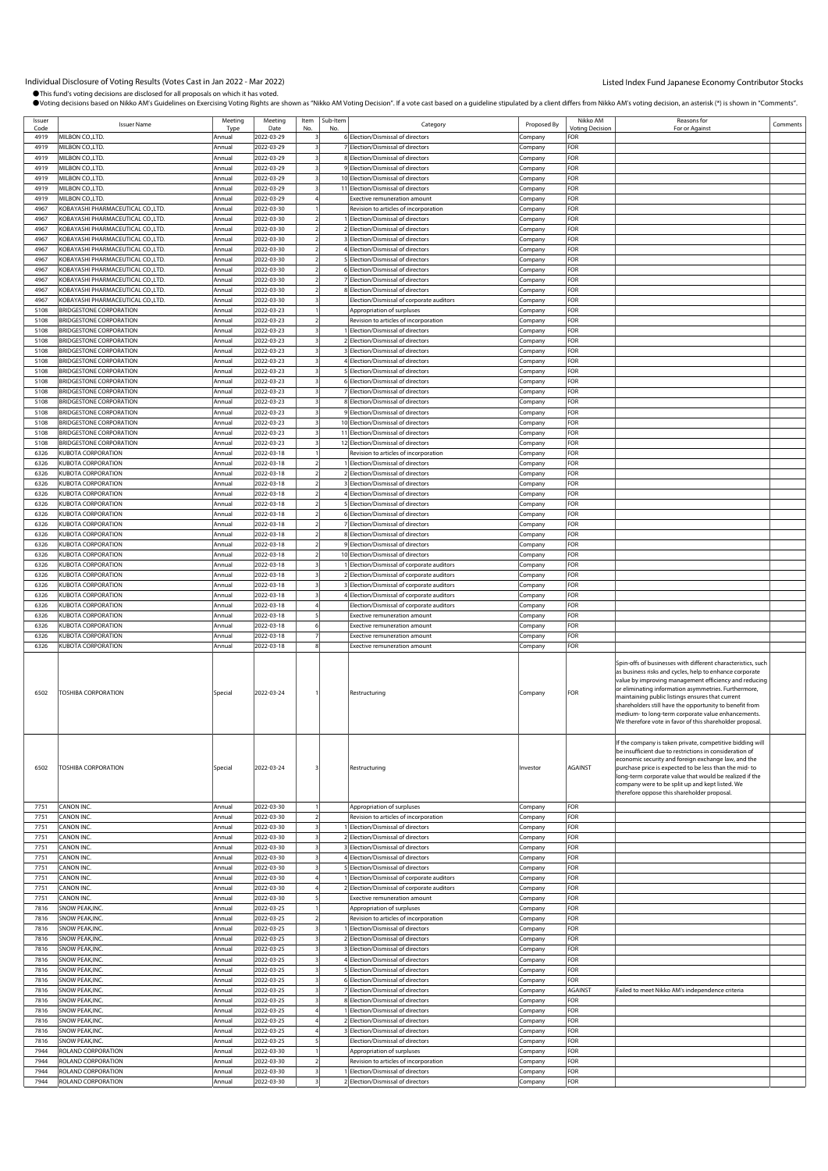| Issuer<br>Code | <b>Issuer Name</b>                | Meeting<br>Type          | Meeting<br>Date          | Item<br>No | Sub-Item<br>No | Category                                    | Proposed By         | Nikko AM<br><b>Votina Decision</b> | Reasons for<br>For or Against                                                                                                                                                                                                                                                                                                                                                                                                                                             | Comments |
|----------------|-----------------------------------|--------------------------|--------------------------|------------|----------------|---------------------------------------------|---------------------|------------------------------------|---------------------------------------------------------------------------------------------------------------------------------------------------------------------------------------------------------------------------------------------------------------------------------------------------------------------------------------------------------------------------------------------------------------------------------------------------------------------------|----------|
| 4919           | MILBON CO.,LTD.                   | Annual                   | 2022-03-29               |            |                | 6 Election/Dismissal of directors           | Company             | FOR                                |                                                                                                                                                                                                                                                                                                                                                                                                                                                                           |          |
| 4919           | MILBON CO.,LTD                    | Annual                   | 2022-03-29               |            |                | 7 Election/Dismissal of directors           | Company             | FOR                                |                                                                                                                                                                                                                                                                                                                                                                                                                                                                           |          |
| 4919           | MILBON CO., LTD.                  | Annual                   | 2022-03-29               |            |                | 8 Election/Dismissal of directors           | Company             | FOR                                |                                                                                                                                                                                                                                                                                                                                                                                                                                                                           |          |
| 4919           | MILBON CO., LTD.                  | Annual                   | 2022-03-29               |            |                | 9 Election/Dismissal of directors           |                     | FOR                                |                                                                                                                                                                                                                                                                                                                                                                                                                                                                           |          |
|                | MILBON CO.,LTD                    |                          |                          |            |                |                                             | Company             |                                    |                                                                                                                                                                                                                                                                                                                                                                                                                                                                           |          |
| 4919           |                                   | Annual                   | 2022-03-29               |            |                | 10 Election/Dismissal of directors          | ompany              | FOR                                |                                                                                                                                                                                                                                                                                                                                                                                                                                                                           |          |
| 4919           | MILBON CO.,LTD                    | Annual                   | 2022-03-29               |            |                | 11 Election/Dismissal of directors          | Company             | FOR                                |                                                                                                                                                                                                                                                                                                                                                                                                                                                                           |          |
| 4919           | MILBON CO.,LTD                    | Annua                    | 2022-03-29               |            |                | <b>Exective remuneration amount</b>         | .cmpany             | FOR                                |                                                                                                                                                                                                                                                                                                                                                                                                                                                                           |          |
| 4967           | KOBAYASHI PHARMACEUTICAL CO.,LTD. | Annual                   | 2022-03-30               |            |                | Revision to articles of incorporation       | Company             | FOR                                |                                                                                                                                                                                                                                                                                                                                                                                                                                                                           |          |
| 4967           | KOBAYASHI PHARMACEUTICAL CO.,LTD. | Annual                   | 2022-03-30               |            |                | 1 Election/Dismissal of directors           | Company             | FOR                                |                                                                                                                                                                                                                                                                                                                                                                                                                                                                           |          |
| 4967           | KOBAYASHI PHARMACEUTICAL CO.,LTD. | Annual                   | 2022-03-30               |            |                | 2 Election/Dismissal of directors           | Company             | FOR                                |                                                                                                                                                                                                                                                                                                                                                                                                                                                                           |          |
| 4967           | KOBAYASHI PHARMACEUTICAL CO.,LTD. | Annual                   | 2022-03-30               |            |                | 3 Election/Dismissal of directors           | Company             | FOR                                |                                                                                                                                                                                                                                                                                                                                                                                                                                                                           |          |
| 4967           | KOBAYASHI PHARMACEUTICAL CO.,LTD. | Annua                    | 2022-03-30               |            |                | 4 Election/Dismissal of directors           | Company             | FOR                                |                                                                                                                                                                                                                                                                                                                                                                                                                                                                           |          |
| 4967           | KOBAYASHI PHARMACEUTICAL CO.,LTD. | Annual                   | 2022-03-30               |            |                | 5 Election/Dismissal of directors           | Company             | FOR                                |                                                                                                                                                                                                                                                                                                                                                                                                                                                                           |          |
| 4967           | KOBAYASHI PHARMACEUTICAL CO.,LTD. | Annual                   | 2022-03-30               |            |                | 6 Election/Dismissal of directors           | Company             | FOR                                |                                                                                                                                                                                                                                                                                                                                                                                                                                                                           |          |
| 4967           | KOBAYASHI PHARMACEUTICAL CO.,LTD. | Annual                   | 2022-03-30               |            |                | 7 Election/Dismissal of directors           | Company             | FOR                                |                                                                                                                                                                                                                                                                                                                                                                                                                                                                           |          |
| 4967           | KOBAYASHI PHARMACEUTICAL CO.,LTD. | Annua                    | 2022-03-30               |            |                | 8 Election/Dismissal of directors           | .<br>ompany         | FOR                                |                                                                                                                                                                                                                                                                                                                                                                                                                                                                           |          |
| 4967           | KOBAYASHI PHARMACEUTICAL CO.,LTD. | Annual                   | 2022-03-30               |            |                | Election/Dismissal of corporate auditors    | Company             | FOR                                |                                                                                                                                                                                                                                                                                                                                                                                                                                                                           |          |
| 5108           | BRIDGESTONE CORPORATION           | Annual                   | 2022-03-23               |            |                | Appropriation of surpluses                  | .cmpany             | FOR                                |                                                                                                                                                                                                                                                                                                                                                                                                                                                                           |          |
| 5108           | <b>BRIDGESTONE CORPORATION</b>    | Annual                   | 2022-03-23               |            |                | Revision to articles of incorporation       | Company             | FOR                                |                                                                                                                                                                                                                                                                                                                                                                                                                                                                           |          |
| 5108           | BRIDGESTONE CORPORATION           | Annual                   | 2022-03-23               |            |                | Election/Dismissal of directors             | Company             | FOR                                |                                                                                                                                                                                                                                                                                                                                                                                                                                                                           |          |
| 5108           | <b>BRIDGESTONE CORPORATION</b>    | Annual                   | 2022-03-23               |            |                | 2 Election/Dismissal of directors           | Company             | FOR                                |                                                                                                                                                                                                                                                                                                                                                                                                                                                                           |          |
|                |                                   |                          |                          |            |                |                                             |                     | FOR                                |                                                                                                                                                                                                                                                                                                                                                                                                                                                                           |          |
| 5108           | BRIDGESTONE CORPORATION           | Annual                   | 2022-03-23               |            |                | 3 Election/Dismissal of directors           | .cmpany             | FOR                                |                                                                                                                                                                                                                                                                                                                                                                                                                                                                           |          |
| 5108           | BRIDGESTONE CORPORATION           | Annua                    | 2022-03-23               |            |                | 4 Election/Dismissal of directors           | .cmpany             |                                    |                                                                                                                                                                                                                                                                                                                                                                                                                                                                           |          |
| 5108           | BRIDGESTONE CORPORATION           | Annual                   | 2022-03-23               |            |                | 5 Election/Dismissal of directors           | .cmpany             | FOR                                |                                                                                                                                                                                                                                                                                                                                                                                                                                                                           |          |
| 5108           | BRIDGESTONE CORPORATION           | Annual                   | 2022-03-23               |            |                | 6 Election/Dismissal of directors           | Company             | FOR                                |                                                                                                                                                                                                                                                                                                                                                                                                                                                                           |          |
| 5108           | BRIDGESTONE CORPORATION           | Annual                   | 2022-03-23               |            |                | 7 Election/Dismissal of directors           | Company             | FOR                                |                                                                                                                                                                                                                                                                                                                                                                                                                                                                           |          |
| 5108           | BRIDGESTONE CORPORATION           | Annual                   | 2022-03-23               |            |                | 8 Election/Dismissal of directors           | Company             | FOR                                |                                                                                                                                                                                                                                                                                                                                                                                                                                                                           |          |
| 5108           | BRIDGESTONE CORPORATION           | Annual                   | 2022-03-23               |            |                | 9 Election/Dismissal of directors           | Company             | FOR                                |                                                                                                                                                                                                                                                                                                                                                                                                                                                                           |          |
| 5108           | BRIDGESTONE CORPORATION           | Annual                   | 2022-03-23               |            |                | 10 Election/Dismissal of directors          | Company             | FOR                                |                                                                                                                                                                                                                                                                                                                                                                                                                                                                           |          |
| 5108           | BRIDGESTONE CORPORATION           | Annual                   | 2022-03-23               |            |                | 11 Election/Dismissal of directors          | ompany              | FOR                                |                                                                                                                                                                                                                                                                                                                                                                                                                                                                           |          |
| 5108           | <b>BRIDGESTONE CORPORATION</b>    | Annual                   | 2022-03-23               |            |                | 12 Election/Dismissal of directors          | Company             | FOR                                |                                                                                                                                                                                                                                                                                                                                                                                                                                                                           |          |
| 6326           | KUBOTA CORPORATION                | Annua                    | 2022-03-18               |            |                | Revision to articles of incorporation       | .cmpany             | FOR                                |                                                                                                                                                                                                                                                                                                                                                                                                                                                                           |          |
| 6326           | KUBOTA CORPORATION                | Annual                   | 2022-03-18               |            |                | Election/Dismissal of directors             | Company             | FOR                                |                                                                                                                                                                                                                                                                                                                                                                                                                                                                           |          |
| 6326           | KUBOTA CORPORATION                | Annual                   | 2022-03-18               |            |                | 2 Election/Dismissal of directors           | Company             | FOR                                |                                                                                                                                                                                                                                                                                                                                                                                                                                                                           |          |
| 6326           | KUBOTA CORPORATION                | Annual                   | 2022-03-18               |            |                | 3 Election/Dismissal of directors           | Company             | FOR                                |                                                                                                                                                                                                                                                                                                                                                                                                                                                                           |          |
| 6326           | KUBOTA CORPORATION                | Annual                   | 2022-03-18               |            |                | 4 Election/Dismissal of directors           | Company             | FOR                                |                                                                                                                                                                                                                                                                                                                                                                                                                                                                           |          |
| 6326           | KUBOTA CORPORATION                | Annual                   | 2022-03-18               |            |                | 5 Election/Dismissal of directors           | Company             | FOR                                |                                                                                                                                                                                                                                                                                                                                                                                                                                                                           |          |
| 6326           | KUBOTA CORPORATION                | Annual                   | 2022-03-18               |            |                | 6 Election/Dismissal of directors           | Company             | FOR                                |                                                                                                                                                                                                                                                                                                                                                                                                                                                                           |          |
|                |                                   |                          |                          |            |                |                                             |                     |                                    |                                                                                                                                                                                                                                                                                                                                                                                                                                                                           |          |
| 6326           | KUBOTA CORPORATION                | Annua                    | 2022-03-18               |            |                | 7 Election/Dismissal of directors           | ompany              | FOR                                |                                                                                                                                                                                                                                                                                                                                                                                                                                                                           |          |
| 6326           | KUBOTA CORPORATION                | Annual                   | 2022-03-18               |            |                | 8 Election/Dismissal of directors           | .cmpany             | FOR                                |                                                                                                                                                                                                                                                                                                                                                                                                                                                                           |          |
| 6326           | KUBOTA CORPORATION                | Annua                    | 2022-03-18               |            |                | 9 Election/Dismissal of directors           | .cmpany             | FOR                                |                                                                                                                                                                                                                                                                                                                                                                                                                                                                           |          |
| 6326           | KUBOTA CORPORATION                | Annual                   | 2022-03-18               |            |                | 10 Election/Dismissal of directors          | Company             | FOR                                |                                                                                                                                                                                                                                                                                                                                                                                                                                                                           |          |
| 6326           | KUBOTA CORPORATION                | Annual                   | 2022-03-18               |            |                | 1 Election/Dismissal of corporate auditors  | Company             | FOR                                |                                                                                                                                                                                                                                                                                                                                                                                                                                                                           |          |
| 6326           | KUBOTA CORPORATION                | Annual                   | 2022-03-18               |            |                | 2 Election/Dismissal of corporate auditors  | Company             | FOR                                |                                                                                                                                                                                                                                                                                                                                                                                                                                                                           |          |
| 6326           | KUBOTA CORPORATION                | Annual                   | 2022-03-18               |            |                | 3 Election/Dismissal of corporate auditors  | Company             | FOR                                |                                                                                                                                                                                                                                                                                                                                                                                                                                                                           |          |
| 6326           | KUBOTA CORPORATION                | Annual                   | 2022-03-18               |            |                | 4 Election/Dismissal of corporate auditors  | Company             | FOR                                |                                                                                                                                                                                                                                                                                                                                                                                                                                                                           |          |
| 6326           | KUBOTA CORPORATION                | Annual                   | 2022-03-18               |            |                | Election/Dismissal of corporate auditors    | Company             | FOR                                |                                                                                                                                                                                                                                                                                                                                                                                                                                                                           |          |
| 6326           | KUBOTA CORPORATION                | Annual                   | 2022-03-18               |            |                | <b>Exective remuneration amount</b>         | .cmpany             | FOR                                |                                                                                                                                                                                                                                                                                                                                                                                                                                                                           |          |
| 6326           | KUBOTA CORPORATION                | Annual                   | 2022-03-18               |            |                | Exective remuneration amount                | .cmpany             | FOR                                |                                                                                                                                                                                                                                                                                                                                                                                                                                                                           |          |
| 6326           | KUBOTA CORPORATION                | Annual                   | 2022-03-18               |            |                | Exective remuneration amount                | Company             | FOR                                |                                                                                                                                                                                                                                                                                                                                                                                                                                                                           |          |
| 6326           | KUBOTA CORPORATION                | Annual                   | 2022-03-18               |            |                | Exective remuneration amount                | Company             | FOR                                |                                                                                                                                                                                                                                                                                                                                                                                                                                                                           |          |
| 6502           | <b>TOSHIBA CORPORATION</b>        | Special                  | 2022-03-24               |            |                | Restructuring                               | Company             | FOR                                | Spin-offs of businesses with different characteristics, such<br>as business risks and cycles, help to enhance corporate<br>value by improving management efficiency and reducing<br>or eliminating information asymmetries. Furthermore,<br>maintaining public listings ensures that current<br>shareholders still have the opportunity to benefit from<br>medium- to long-term corporate value enhancements.<br>We therefore vote in favor of this shareholder proposal. |          |
| 6502<br>7751   | TOSHIBA CORPORATION<br>CANON INC. | Special<br><b>Annual</b> | 2022-03-24<br>2022-03-30 | 3          |                | Restructuring<br>Appropriation of surpluses | Investor<br>Company | <b>AGAINST</b><br>FOR              | If the company is taken private, competitive bidding will<br>be insufficient due to restrictions in consideration of<br>economic security and foreign exchange law, and the<br>purchase price is expected to be less than the mid-to<br>long-term corporate value that would be realized if the<br>company were to be split up and kept listed. We<br>therefore oppose this shareholder proposal.                                                                         |          |
| 7751           | CANON INC.                        | Annual                   | 2022-03-30               |            |                | Revision to articles of incorporation       | Company             | FOR                                |                                                                                                                                                                                                                                                                                                                                                                                                                                                                           |          |
| 7751           | CANON INC.                        | Annual                   | 2022-03-30               |            |                | Election/Dismissal of directors             | Company             | FOR                                |                                                                                                                                                                                                                                                                                                                                                                                                                                                                           |          |
| 7751           | CANON INC.                        | Annual                   | 2022-03-30               |            |                | 2 Election/Dismissal of directors           | Company             | FOR                                |                                                                                                                                                                                                                                                                                                                                                                                                                                                                           |          |
| 7751           | CANON INC.                        | Annual                   | 2022-03-30               |            |                | 3 Election/Dismissal of directors           | Company             | FOR                                |                                                                                                                                                                                                                                                                                                                                                                                                                                                                           |          |
| 7751           | CANON INC.                        | Annua                    | 2022-03-30               |            |                | 4 Election/Dismissal of directors           | .cmpany             | FOR                                |                                                                                                                                                                                                                                                                                                                                                                                                                                                                           |          |
| 7751           | CANON INC.                        | Annual                   | 2022-03-30               |            |                | 5 Election/Dismissal of directors           | .cmpany             | FOR                                |                                                                                                                                                                                                                                                                                                                                                                                                                                                                           |          |
| 7751           | CANON INC.                        | Annual                   | 2022-03-30               |            |                | Election/Dismissal of corporate auditors    | Company             | FOR                                |                                                                                                                                                                                                                                                                                                                                                                                                                                                                           |          |
| 7751           | CANON INC.                        | Annual                   | 2022-03-30               |            |                | 2 Election/Dismissal of corporate auditors  | Company             | FOR                                |                                                                                                                                                                                                                                                                                                                                                                                                                                                                           |          |
| 7751           | CANON INC.                        | Annual                   | 2022-03-30               |            |                | Exective remuneration amount                | .cmpany             | FOR                                |                                                                                                                                                                                                                                                                                                                                                                                                                                                                           |          |
| 7816           | SNOW PEAK, INC.                   | Annual                   | 2022-03-25               |            |                | Appropriation of surpluses                  | Company             | FOR                                |                                                                                                                                                                                                                                                                                                                                                                                                                                                                           |          |
| 7816           | SNOW PEAK, INC.                   | Annual                   | 2022-03-25               |            |                | Revision to articles of incorporation       | Company             | FOR                                |                                                                                                                                                                                                                                                                                                                                                                                                                                                                           |          |
| 7816           | SNOW PEAK, INC.                   | Annual                   | 2022-03-25               |            |                | Election/Dismissal of directors             | Company             | FOR                                |                                                                                                                                                                                                                                                                                                                                                                                                                                                                           |          |
| 7816           | SNOW PEAK, INC.                   | Annual                   | 2022-03-25               |            |                | 2 Election/Dismissal of directors           | Company             | FOR                                |                                                                                                                                                                                                                                                                                                                                                                                                                                                                           |          |
| 7816           | SNOW PEAK, INC.                   | Annual                   | 2022-03-25               |            |                | 3 Election/Dismissal of directors           |                     | FOR                                |                                                                                                                                                                                                                                                                                                                                                                                                                                                                           |          |
|                |                                   |                          |                          |            |                |                                             | .cmpany             |                                    |                                                                                                                                                                                                                                                                                                                                                                                                                                                                           |          |
| 7816           | SNOW PEAK, INC.                   | Annual                   | 2022-03-25               |            |                | 4 Election/Dismissal of directors           | .cmpany             | FOR                                |                                                                                                                                                                                                                                                                                                                                                                                                                                                                           |          |
| 7816           | SNOW PEAK, INC.                   | Annual                   | 2022-03-25               |            |                | 5 Election/Dismissal of directors           | Company             | FOR                                |                                                                                                                                                                                                                                                                                                                                                                                                                                                                           |          |
| 7816           | SNOW PEAK, INC.                   | Annual                   | 2022-03-25               |            |                | 6 Election/Dismissal of directors           | .cmpany             | FOR                                |                                                                                                                                                                                                                                                                                                                                                                                                                                                                           |          |
| 7816           | SNOW PEAK, INC.                   | Annual                   | 2022-03-25               |            |                | 7 Election/Dismissal of directors           | Company             | <b>AGAINST</b>                     | Failed to meet Nikko AM's independence criteria                                                                                                                                                                                                                                                                                                                                                                                                                           |          |
| 7816           | SNOW PEAK, INC.                   | Annual                   | 2022-03-25               |            |                | 8 Election/Dismissal of directors           | Company             | FOR                                |                                                                                                                                                                                                                                                                                                                                                                                                                                                                           |          |
| 7816           | SNOW PEAK, INC.                   | Annual                   | 2022-03-25               |            |                | Election/Dismissal of directors             | .cmpany             | FOR                                |                                                                                                                                                                                                                                                                                                                                                                                                                                                                           |          |
| 7816           | SNOW PEAK, INC.                   | Annual                   | 2022-03-25               |            |                | 2 Election/Dismissal of directors           | Company             | FOR                                |                                                                                                                                                                                                                                                                                                                                                                                                                                                                           |          |
| 7816           | SNOW PEAK, INC.                   | <b>Annual</b>            | 2022-03-25               |            |                | 3 Election/Dismissal of directors           | .cmpany             | FOR                                |                                                                                                                                                                                                                                                                                                                                                                                                                                                                           |          |
| 7816           | SNOW PEAK, INC.                   | Annual                   | 2022-03-25               |            |                | Election/Dismissal of directors             | .cmpany             | FOR                                |                                                                                                                                                                                                                                                                                                                                                                                                                                                                           |          |
| 7944           | ROLAND CORPORATION                | Annual                   | 2022-03-30               |            |                | Appropriation of surpluses                  | Company             | FOR                                |                                                                                                                                                                                                                                                                                                                                                                                                                                                                           |          |
| 7944           | ROLAND CORPORATION                | Annual                   | 2022-03-30               |            |                | Revision to articles of incorporation       | Company             | FOR                                |                                                                                                                                                                                                                                                                                                                                                                                                                                                                           |          |
| 7944           | ROLAND CORPORATION                | Annual                   | 2022-03-30               |            |                | Election/Dismissal of directors             | Company             | FOR                                |                                                                                                                                                                                                                                                                                                                                                                                                                                                                           |          |
| 7944           | ROLAND CORPORATION                | Annual                   | 2022-03-30               |            |                | 2 Election/Dismissal of directors           | Company             | FOR                                |                                                                                                                                                                                                                                                                                                                                                                                                                                                                           |          |